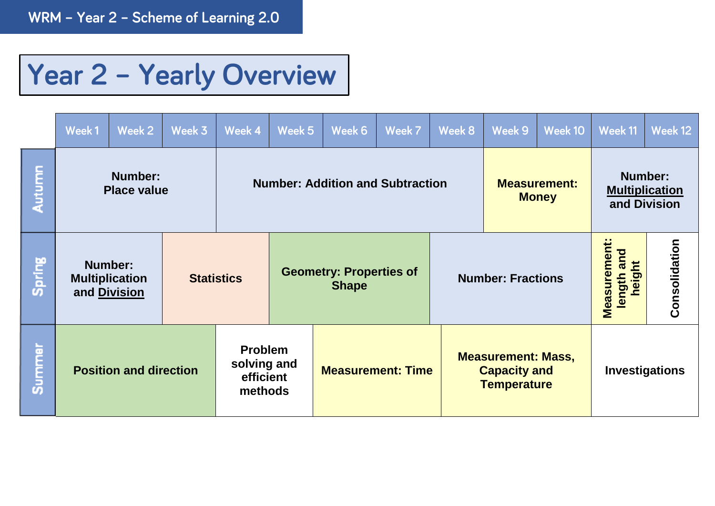## Year 2 - Yearly Overview

|        | Week1                                                   | Week 2 | Week 3            | Week 4                                                | Week 5 | Week 6                                         | Week 7 | Week 8 | Week 9                                                                 | Week 10 | Week 11                                                 | Week 12       |
|--------|---------------------------------------------------------|--------|-------------------|-------------------------------------------------------|--------|------------------------------------------------|--------|--------|------------------------------------------------------------------------|---------|---------------------------------------------------------|---------------|
| Autumn | Number:<br><b>Place value</b>                           |        |                   | <b>Number: Addition and Subtraction</b>               |        |                                                |        |        | <b>Measurement:</b><br><b>Money</b>                                    |         | <b>Number:</b><br><b>Multiplication</b><br>and Division |               |
| Spring | <b>Number:</b><br><b>Multiplication</b><br>and Division |        | <b>Statistics</b> |                                                       |        | <b>Geometry: Properties of</b><br><b>Shape</b> |        |        | <b>Number: Fractions</b>                                               |         | Measurement:<br>and<br>eight<br>length                  | Consolidation |
| Summer | <b>Position and direction</b>                           |        |                   | <b>Problem</b><br>solving and<br>efficient<br>methods |        | <b>Measurement: Time</b>                       |        |        | <b>Measurement: Mass,</b><br><b>Capacity and</b><br><b>Temperature</b> |         | Investigations                                          |               |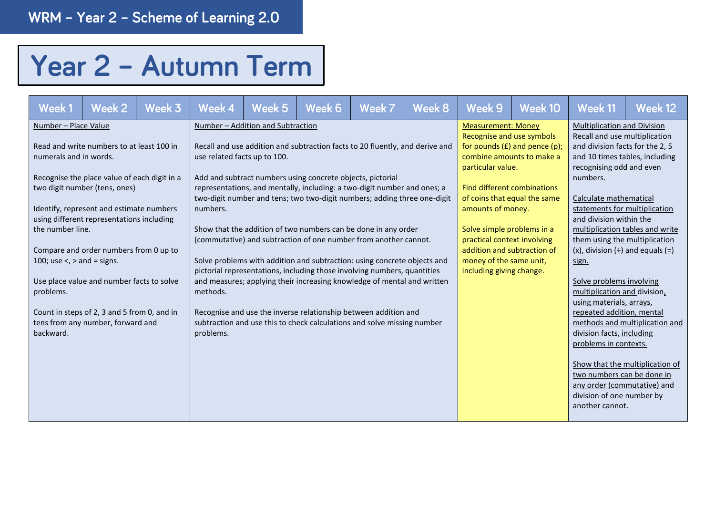## Year 2 - Autumn Term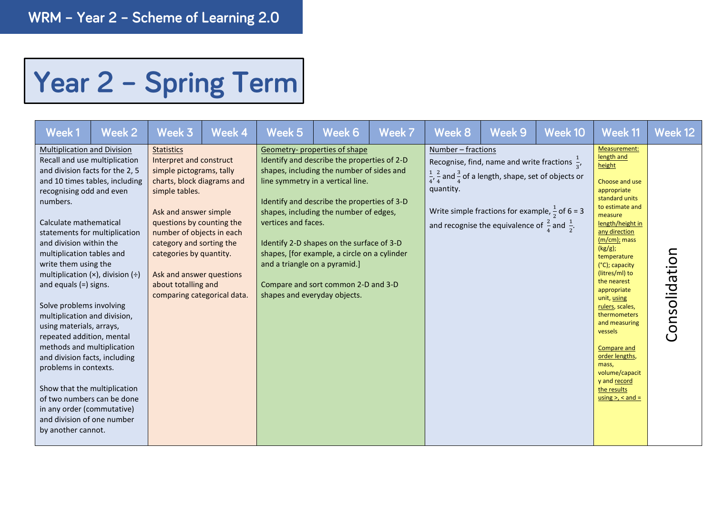## Year 2 - Spring Term

| Week 1                                                                                                                                                                                                                                                                                                                                                                                                                                                                                                         | Week 2                                                                                                                                                                                                                                        | Week 3                                                                                                                                                                                                                                                                                                                                               | Week 4 | Week 5                                                                               | Week 6                                                                                                                                                                                                                                                                                                                                                                                     | Week 7 | Week 8                          | Week 9                                                                                                                                                                                                                                                                                 | Week 10 | Week 11                                                                                                                                                                                                                                                                                                                                                                                                                                                                       | Week 12       |
|----------------------------------------------------------------------------------------------------------------------------------------------------------------------------------------------------------------------------------------------------------------------------------------------------------------------------------------------------------------------------------------------------------------------------------------------------------------------------------------------------------------|-----------------------------------------------------------------------------------------------------------------------------------------------------------------------------------------------------------------------------------------------|------------------------------------------------------------------------------------------------------------------------------------------------------------------------------------------------------------------------------------------------------------------------------------------------------------------------------------------------------|--------|--------------------------------------------------------------------------------------|--------------------------------------------------------------------------------------------------------------------------------------------------------------------------------------------------------------------------------------------------------------------------------------------------------------------------------------------------------------------------------------------|--------|---------------------------------|----------------------------------------------------------------------------------------------------------------------------------------------------------------------------------------------------------------------------------------------------------------------------------------|---------|-------------------------------------------------------------------------------------------------------------------------------------------------------------------------------------------------------------------------------------------------------------------------------------------------------------------------------------------------------------------------------------------------------------------------------------------------------------------------------|---------------|
| <b>Multiplication and Division</b><br>recognising odd and even<br>numbers.<br>Calculate mathematical<br>and division within the<br>multiplication tables and<br>write them using the<br>and equals $(=)$ signs.<br>Solve problems involving<br>multiplication and division,<br>using materials, arrays,<br>repeated addition, mental<br>methods and multiplication<br>and division facts, including<br>problems in contexts.<br>in any order (commutative)<br>and division of one number<br>by another cannot. | Recall and use multiplication<br>and division facts for the 2, 5<br>and 10 times tables, including<br>statements for multiplication<br>multiplication $(x)$ , division $(\div)$<br>Show that the multiplication<br>of two numbers can be done | <b>Statistics</b><br>Interpret and construct<br>simple pictograms, tally<br>charts, block diagrams and<br>simple tables.<br>Ask and answer simple<br>questions by counting the<br>number of objects in each<br>category and sorting the<br>categories by quantity.<br>Ask and answer questions<br>about totalling and<br>comparing categorical data. |        | vertices and faces.<br>and a triangle on a pyramid.]<br>shapes and everyday objects. | Geometry-properties of shape<br>Identify and describe the properties of 2-D<br>shapes, including the number of sides and<br>line symmetry in a vertical line.<br>Identify and describe the properties of 3-D<br>shapes, including the number of edges,<br>Identify 2-D shapes on the surface of 3-D<br>shapes, [for example, a circle on a cylinder<br>Compare and sort common 2-D and 3-D |        | Number - fractions<br>quantity. | Recognise, find, name and write fractions $\frac{1}{2}$ ,<br>$\frac{1}{4}$ , $\frac{2}{4}$ and $\frac{3}{4}$ of a length, shape, set of objects or<br>Write simple fractions for example, $\frac{1}{2}$ of 6 = 3<br>and recognise the equivalence of $\frac{2}{4}$ and $\frac{1}{2}$ . |         | Measurement:<br>length and<br>height<br>Choose and use<br>appropriate<br>standard units<br>to estimate and<br>measure<br>length/height in<br>any direction<br>$(m/cm)$ ; mass<br>(kg/g);<br>temperature<br>(°C); capacity<br>(litres/ml) to<br>the nearest<br>appropriate<br>unit, using<br>rulers, scales,<br>thermometers<br>and measuring<br>vessels<br>Compare and<br>order lengths,<br>mass,<br>volume/capacit<br>y and record<br>the results<br>using $>$ , $<$ and $=$ | Consolidation |